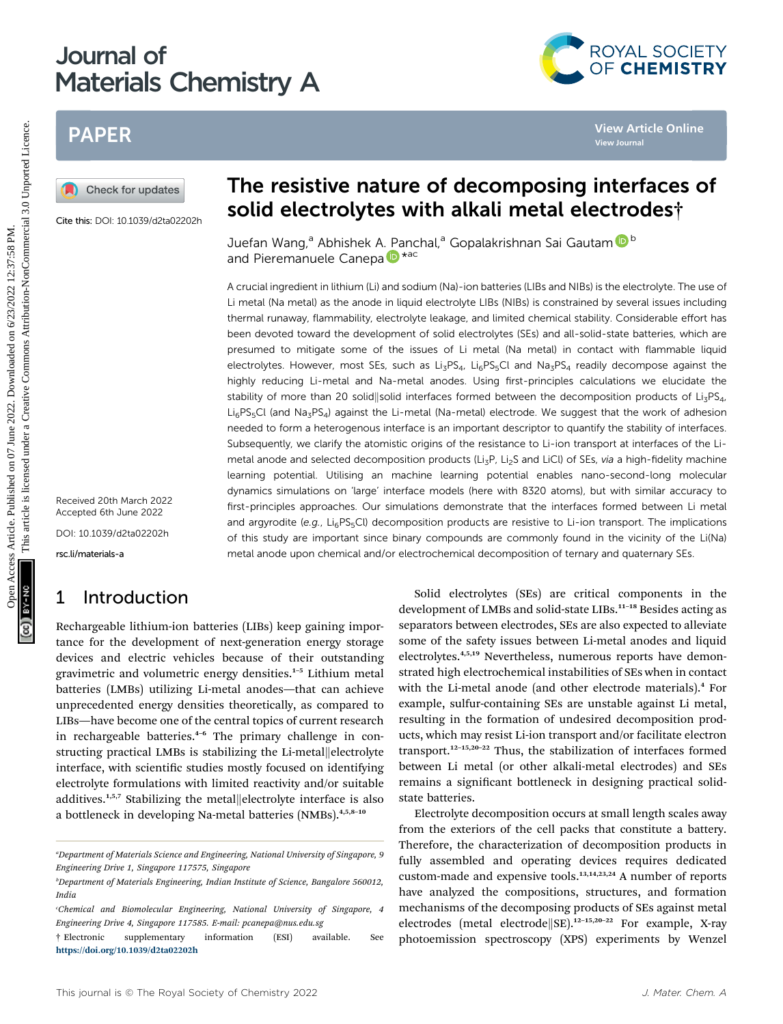# Journal of Materials Chemistry A

# PAPER

Cite this: DOI: 10.1039/d2ta02202h

Received 20th March 2022 Accepted 6th June 2022

DOI: 10.1039/d2ta02202h

rsc.li/materials-a

### 1 Introduction

Rechargeable lithium-ion batteries (LIBs) keep gaining importance for the development of next-generation energy storage devices and electric vehicles because of their outstanding gravimetric and volumetric energy densities.<sup>1</sup>–<sup>5</sup> Lithium metal batteries (LMBs) utilizing Li-metal anodes—that can achieve unprecedented energy densities theoretically, as compared to LIBs—have become one of the central topics of current research in rechargeable batteries.<sup>4-6</sup> The primary challenge in constructing practical LMBs is stabilizing the Li-metal||electrolyte interface, with scientific studies mostly focused on identifying electrolyte formulations with limited reactivity and/or suitable additives.<sup>1,5,7</sup> Stabilizing the metal $\Vert$ electrolyte interface is also a bottleneck in developing Na-metal batteries (NMBs).4,5,8–<sup>10</sup>

# The resistive nature of decomposing interfaces of solid electrolytes with alkali metal electrodes†

Juefan Wang,<sup>a</sup> Abhishek A. Panchal,<sup>a</sup> Gopalakrishnan Sai Gauta[m](http://orcid.org/0000-0002-1303-0976) <sup>b b</sup> [a](http://orcid.org/0000-0002-5168-9253)nd Pieremanuele Canepa D\*ac

A crucial ingredient in lithium (Li) and sodium (Na)-ion batteries (LIBs and NIBs) is the electrolyte. The use of Li metal (Na metal) as the anode in liquid electrolyte LIBs (NIBs) is constrained by several issues including thermal runaway, flammability, electrolyte leakage, and limited chemical stability. Considerable effort has been devoted toward the development of solid electrolytes (SEs) and all-solid-state batteries, which are presumed to mitigate some of the issues of Li metal (Na metal) in contact with flammable liquid electrolytes. However, most SEs, such as Li<sub>3</sub>PS<sub>4</sub>, Li<sub>6</sub>PS<sub>5</sub>Cl and Na<sub>3</sub>PS<sub>4</sub> readily decompose against the highly reducing Li-metal and Na-metal anodes. Using first-principles calculations we elucidate the stability of more than 20 solid||solid interfaces formed between the decomposition products of Li<sub>3</sub>PS<sub>4</sub>,  $Li_6PS_5Cl$  (and  $Na_3PS_4$ ) against the Li-metal (Na-metal) electrode. We suggest that the work of adhesion needed to form a heterogenous interface is an important descriptor to quantify the stability of interfaces. Subsequently, we clarify the atomistic origins of the resistance to Li-ion transport at interfaces of the Limetal anode and selected decomposition products (Li<sub>3</sub>P, Li<sub>2</sub>S and LiCl) of SEs, via a high-fidelity machine learning potential. Utilising an machine learning potential enables nano-second-long molecular dynamics simulations on 'large' interface models (here with 8320 atoms), but with similar accuracy to first-principles approaches. Our simulations demonstrate that the interfaces formed between Li metal and argyrodite (e.g., Li<sub>6</sub>PS<sub>5</sub>Cl) decomposition products are resistive to Li-ion transport. The implications of this study are important since binary compounds are commonly found in the vicinity of the Li(Na) metal anode upon chemical and/or electrochemical decomposition of ternary and quaternary SEs. PAPER<br> **EXERCTS CONSULTER SECTION CONSULTER CONSULTER SECTION CONSULTER SECTION CONSULTER SECTION CONSULTER SECTION CONSULTER SECTION CONSULTER SECTION CONSULTER SECTION CONSULTER SECTION CONSULTER SECTION CONSULTER SECTI** 

Solid electrolytes (SEs) are critical components in the development of LMBs and solid-state LIBs.<sup>11-18</sup> Besides acting as separators between electrodes, SEs are also expected to alleviate some of the safety issues between Li-metal anodes and liquid electrolytes.4,5,19 Nevertheless, numerous reports have demonstrated high electrochemical instabilities of SEs when in contact with the Li-metal anode (and other electrode materials).<sup>4</sup> For example, sulfur-containing SEs are unstable against Li metal, resulting in the formation of undesired decomposition products, which may resist Li-ion transport and/or facilitate electron transport.<sup>12-15,20-22</sup> Thus, the stabilization of interfaces formed between Li metal (or other alkali-metal electrodes) and SEs remains a significant bottleneck in designing practical solidstate batteries.

Electrolyte decomposition occurs at small length scales away from the exteriors of the cell packs that constitute a battery. Therefore, the characterization of decomposition products in fully assembled and operating devices requires dedicated custom-made and expensive tools.<sup>13,14,23,24</sup> A number of reports have analyzed the compositions, structures, and formation mechanisms of the decomposing products of SEs against metal electrodes (metal electrode SE).<sup>12-15,20-22</sup> For example, X-ray photoemission spectroscopy (XPS) experiments by Wenzel



a Department of Materials Science and Engineering, National University of Singapore, 9 Engineering Drive 1, Singapore 117575, Singapore

b Department of Materials Engineering, Indian Institute of Science, Bangalore 560012, India

c Chemical and Biomolecular Engineering, National University of Singapore, 4 Engineering Drive 4, Singapore 117585. E-mail: pcanepa@nus.edu.sg

<sup>†</sup> Electronic supplementary information (ESI) available. See <https://doi.org/10.1039/d2ta02202h>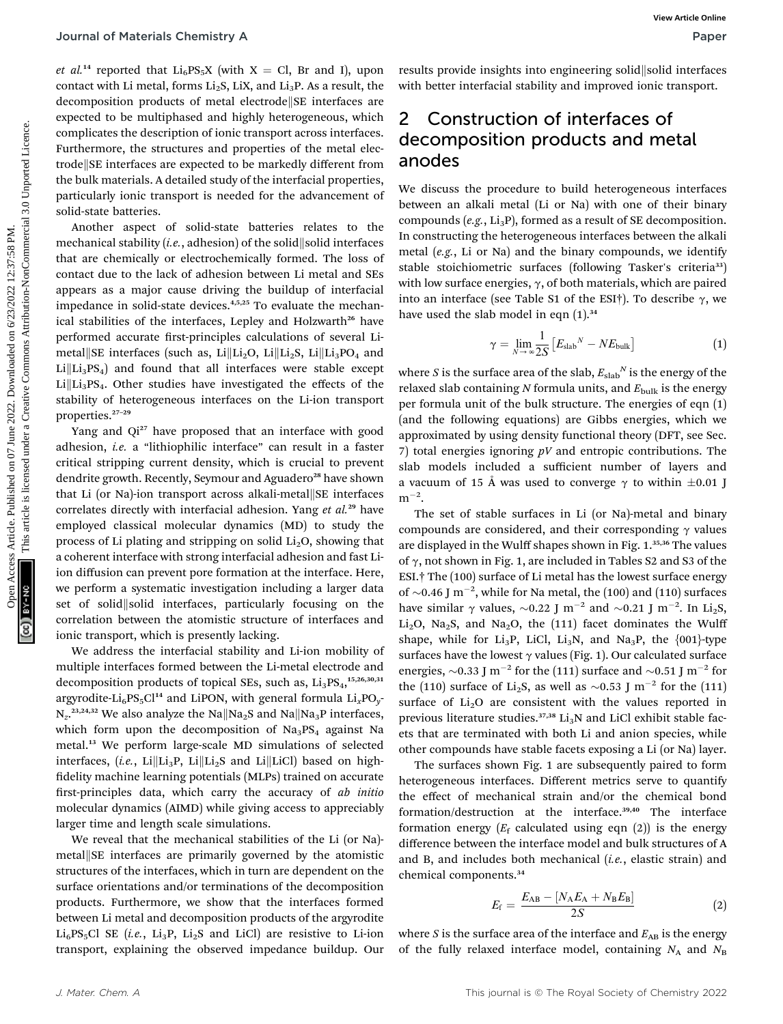et al.<sup>14</sup> reported that Li<sub>6</sub>PS<sub>5</sub>X (with X = Cl, Br and I), upon contact with Li metal, forms  $Li<sub>2</sub>S$ , LiX, and  $Li<sub>3</sub>P$ . As a result, the decomposition products of metal electrode SE interfaces are expected to be multiphased and highly heterogeneous, which complicates the description of ionic transport across interfaces. Furthermore, the structures and properties of the metal electrode SE interfaces are expected to be markedly different from the bulk materials. A detailed study of the interfacial properties, particularly ionic transport is needed for the advancement of solid-state batteries.

Another aspect of solid-state batteries relates to the mechanical stability (*i.e.*, adhesion) of the solid solid interfaces that are chemically or electrochemically formed. The loss of contact due to the lack of adhesion between Li metal and SEs appears as a major cause driving the buildup of interfacial impedance in solid-state devices.<sup>4,5,25</sup> To evaluate the mechanical stabilities of the interfaces, Lepley and Holzwarth<sup>26</sup> have performed accurate first-principles calculations of several Limetal SE interfaces (such as, Li $\|$ Li<sub>2</sub>O, Li $\|$ Li<sub>2</sub>S, Li $\|$ Li<sub>3</sub>PO<sub>4</sub> and  $Li\left(Li_3PS_4\right)$  and found that all interfaces were stable except  $Li\left\vert Li_{3}PS_{4}.\right.$  Other studies have investigated the effects of the stability of heterogeneous interfaces on the Li-ion transport properties.<sup>27</sup>–<sup>29</sup> **Journal of Materials Chemistry A**<br> **Express Article 2022**<br> **Construction of interfaced ones in the set of**  $\alpha$  **are the set of**  $\alpha$  **and light between the set of**  $\alpha$  **and light between the set of the set of the set of the** 

Yang and Qi<sup>27</sup> have proposed that an interface with good adhesion, i.e. a "lithiophilic interface" can result in a faster critical stripping current density, which is crucial to prevent dendrite growth. Recently, Seymour and Aguadero<sup>28</sup> have shown that Li (or Na)-ion transport across alkali-metal  $\left\| S E \right\|$  interfaces correlates directly with interfacial adhesion. Yang et al.<sup>29</sup> have employed classical molecular dynamics (MD) to study the process of Li plating and stripping on solid  $Li<sub>2</sub>O$ , showing that a coherent interface with strong interfacial adhesion and fast Liion diffusion can prevent pore formation at the interface. Here, we perform a systematic investigation including a larger data set of solid solid interfaces, particularly focusing on the correlation between the atomistic structure of interfaces and ionic transport, which is presently lacking.

We address the interfacial stability and Li-ion mobility of multiple interfaces formed between the Li-metal electrode and decomposition products of topical SEs, such as,  $\text{Li}_3\text{PS}_4$ ,  $\text{^{15,26,30,31}}$ argyrodite-Li<sub>6</sub>PS<sub>5</sub>Cl<sup>14</sup> and LiPON, with general formula  $Li_xPO_y$ - $N_z$ <sup>23,24,32</sup> We also analyze the Na $\parallel$ Na<sub>2</sub>S and Na $\parallel$ Na<sub>3</sub>P interfaces, which form upon the decomposition of  $Na<sub>3</sub>PS<sub>4</sub>$  against Na metal.<sup>13</sup> We perform large-scale MD simulations of selected interfaces, (i.e., Li $\|$ Li<sub>3</sub>P, Li $\|$ Li<sub>2</sub>S and Li $\|$ LiCl) based on highfidelity machine learning potentials (MLPs) trained on accurate first-principles data, which carry the accuracy of ab initio molecular dynamics (AIMD) while giving access to appreciably larger time and length scale simulations.

We reveal that the mechanical stabilities of the Li (or Na) metal||SE interfaces are primarily governed by the atomistic structures of the interfaces, which in turn are dependent on the surface orientations and/or terminations of the decomposition products. Furthermore, we show that the interfaces formed between Li metal and decomposition products of the argyrodite  $Li_6PS_5Cl$  SE (i.e.,  $Li_3P$ ,  $Li_2S$  and LiCl) are resistive to Li-ion transport, explaining the observed impedance buildup. Our results provide insights into engineering solid solid interfaces with better interfacial stability and improved ionic transport.

# 2 Construction of interfaces of decomposition products and metal anodes

We discuss the procedure to build heterogeneous interfaces between an alkali metal (Li or Na) with one of their binary compounds (e.g.,  $Li_3P$ ), formed as a result of SE decomposition. In constructing the heterogeneous interfaces between the alkali metal (e.g., Li or Na) and the binary compounds, we identify stable stoichiometric surfaces (following Tasker's criteria<sup>33</sup>) with low surface energies,  $\gamma$ , of both materials, which are paired into an interface (see Table S1 of the ESI†). To describe  $\gamma$ , we have used the slab model in eqn  $(1).<sup>34</sup>$ 

$$
\gamma = \lim_{N \to \infty} \frac{1}{2S} \left[ E_{\text{slab}}{}^{N} - N E_{\text{bulk}} \right] \tag{1}
$$

where S is the surface area of the slab,  $E_{\text{slab}}^N$  is the energy of the relaxed slab containing N formula units, and  $E_{\text{bulk}}$  is the energy per formula unit of the bulk structure. The energies of eqn (1) (and the following equations) are Gibbs energies, which we approximated by using density functional theory (DFT, see Sec. 7) total energies ignoring  $pV$  and entropic contributions. The slab models included a sufficient number of layers and a vacuum of 15 Å was used to converge  $\gamma$  to within  $\pm 0.01$  J  $m^{-2}$ .

The set of stable surfaces in Li (or Na)-metal and binary compounds are considered, and their corresponding  $\gamma$  values are displayed in the Wulff shapes shown in Fig. 1.35,36 The values of  $\gamma$ , not shown in Fig. 1, are included in Tables S2 and S3 of the ESI.† The (100) surface of Li metal has the lowest surface energy of  $\sim$ 0.46 J m<sup>-2</sup>, while for Na metal, the (100) and (110) surfaces have similar  $\gamma$  values,  $\sim 0.22$  J m<sup>-2</sup> and  $\sim 0.21$  J m<sup>-2</sup>. In Li<sub>2</sub>S, <br>Li Q Ne S, and Ne Q the (111) feest dominates the Wulfi Li<sub>2</sub>O, Na<sub>2</sub>S, and Na<sub>2</sub>O, the (111) facet dominates the Wulff shape, while for  $Li_3P$ , LiCl,  $Li_3N$ , and Na<sub>3</sub>P, the {001}-type surfaces have the lowest  $\gamma$  values (Fig. 1). Our calculated surface energies,  $\sim$ 0.33 J m<sup>-2</sup> for the (111) surface and  $\sim$ 0.51 J m<sup>-2</sup> for the (110) surface of Li<sub>2</sub>S, as well as  $\sim$ 0.53 J m<sup>-2</sup> for the (111) surface of  $Li<sub>2</sub>O$  are consistent with the values reported in previous literature studies.<sup>37,38</sup> Li<sub>3</sub>N and LiCl exhibit stable facets that are terminated with both Li and anion species, while other compounds have stable facets exposing a Li (or Na) layer.

The surfaces shown Fig. 1 are subsequently paired to form heterogeneous interfaces. Different metrics serve to quantify the effect of mechanical strain and/or the chemical bond formation/destruction at the interface.39,40 The interface formation energy  $(E_f \text{ calculated using eqn (2)})$  is the energy difference between the interface model and bulk structures of A and B, and includes both mechanical (*i.e.*, elastic strain) and chemical components.<sup>34</sup>

$$
E_{\rm f} = \frac{E_{\rm AB} - [N_{\rm A}E_{\rm A} + N_{\rm B}E_{\rm B}]}{2S}
$$
 (2)

where  $S$  is the surface area of the interface and  $E_{AB}$  is the energy of the fully relaxed interface model, containing  $N_A$  and  $N_B$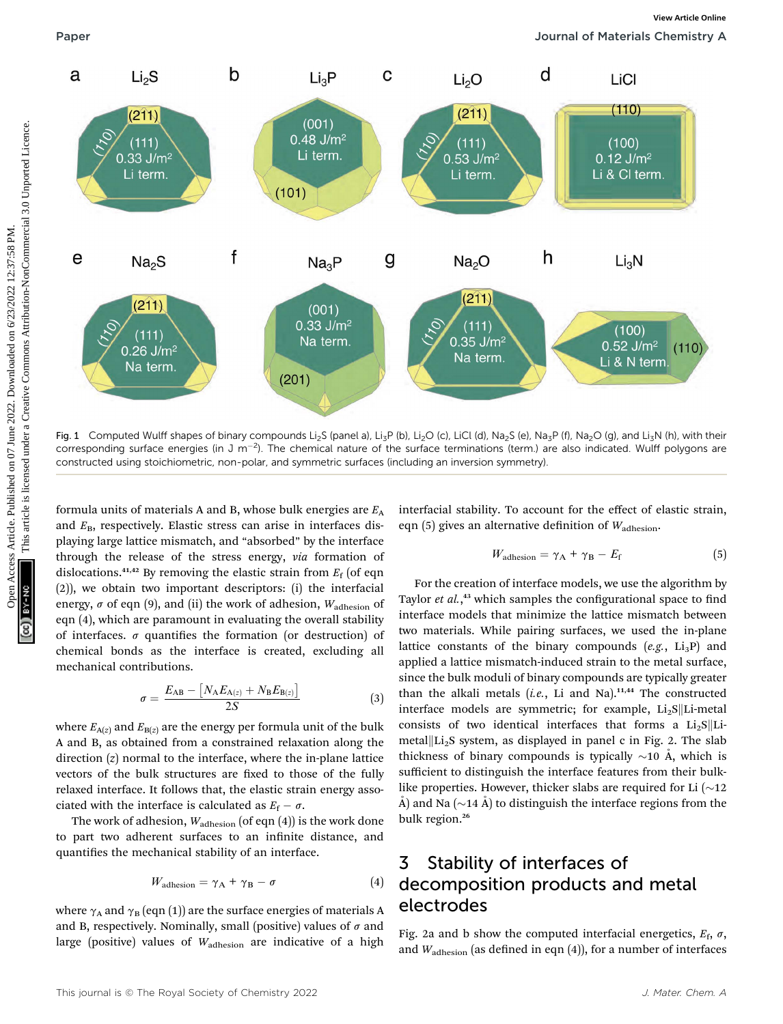

Fig. 1 Computed Wulff shapes of binary compounds Li<sub>2</sub>S (panel a), Li<sub>3</sub>P (b), Li<sub>2</sub>O (c), LiCl (d), Na<sub>2</sub>S (e), Na<sub>3</sub>P (f), Na<sub>2</sub>O (g), and Li<sub>3</sub>N (h), with their corresponding surface energies (in J m<sup>-2</sup>). The chemical nature of the surface terminations (term.) are also indicated. Wulff polygons are constructed using stoichiometric, non-polar, and symmetric surfaces (including an inversion symmetry).

formula units of materials A and B, whose bulk energies are  $E_A$ and  $E_B$ , respectively. Elastic stress can arise in interfaces displaying large lattice mismatch, and "absorbed" by the interface through the release of the stress energy, via formation of dislocations.<sup>41,42</sup> By removing the elastic strain from  $E_f$  (of eqn (2)), we obtain two important descriptors: (i) the interfacial energy,  $\sigma$  of eqn (9), and (ii) the work of adhesion,  $W_{\text{adhesion}}$  of eqn (4), which are paramount in evaluating the overall stability of interfaces.  $\sigma$  quantifies the formation (or destruction) of chemical bonds as the interface is created, excluding all mechanical contributions.

$$
\sigma = \frac{E_{AB} - [N_A E_{A(z)} + N_B E_{B(z)}]}{2S}
$$
(3)

where  $E_{A(z)}$  and  $E_{B(z)}$  are the energy per formula unit of the bulk A and B, as obtained from a constrained relaxation along the direction (z) normal to the interface, where the in-plane lattice vectors of the bulk structures are fixed to those of the fully relaxed interface. It follows that, the elastic strain energy associated with the interface is calculated as  $E_f - \sigma$ .<br>The work of adhesian W. (of ean (4)) is

The work of adhesion,  $W_{\text{adhesion}}$  (of eqn (4)) is the work done to part two adherent surfaces to an infinite distance, and quantifies the mechanical stability of an interface.

$$
W_{\text{adhesion}} = \gamma_{\text{A}} + \gamma_{\text{B}} - \sigma \tag{4}
$$

where  $\gamma_A$  and  $\gamma_B$  (eqn (1)) are the surface energies of materials A and B, respectively. Nominally, small (positive) values of  $\sigma$  and large (positive) values of Wadhesion are indicative of a high interfacial stability. To account for the effect of elastic strain, eqn (5) gives an alternative definition of  $W_{\text{adhesion}}$ .

$$
W_{\text{adhesion}} = \gamma_{\text{A}} + \gamma_{\text{B}} - E_{\text{f}} \tag{5}
$$

For the creation of interface models, we use the algorithm by Taylor et al.,<sup>43</sup> which samples the configurational space to find interface models that minimize the lattice mismatch between two materials. While pairing surfaces, we used the in-plane lattice constants of the binary compounds  $(e.g., Li_3P)$  and applied a lattice mismatch-induced strain to the metal surface, since the bulk moduli of binary compounds are typically greater than the alkali metals  $(i.e.,$  Li and Na).<sup>11,44</sup> The constructed interface models are symmetric; for example,  $Li<sub>2</sub>S||Li-metal$ consists of two identical interfaces that forms a  $Li<sub>2</sub>S$ ||Limetal $\Vert$ Li<sub>2</sub>S system, as displayed in panel c in Fig. 2. The slab thickness of binary compounds is typically  $\sim$ 10 Å, which is sufficient to distinguish the interface features from their bulklike properties. However, thicker slabs are required for Li  $(\sim 12)$  $\hat{A}$ ) and Na ( $\sim$ 14  $\hat{A}$ ) to distinguish the interface regions from the bulk region.<sup>26</sup>

# 3 Stability of interfaces of decomposition products and metal electrodes

Fig. 2a and b show the computed interfacial energetics,  $E_f$ ,  $\sigma$ , and  $W_{\text{adhesion}}$  (as defined in eqn (4)), for a number of interfaces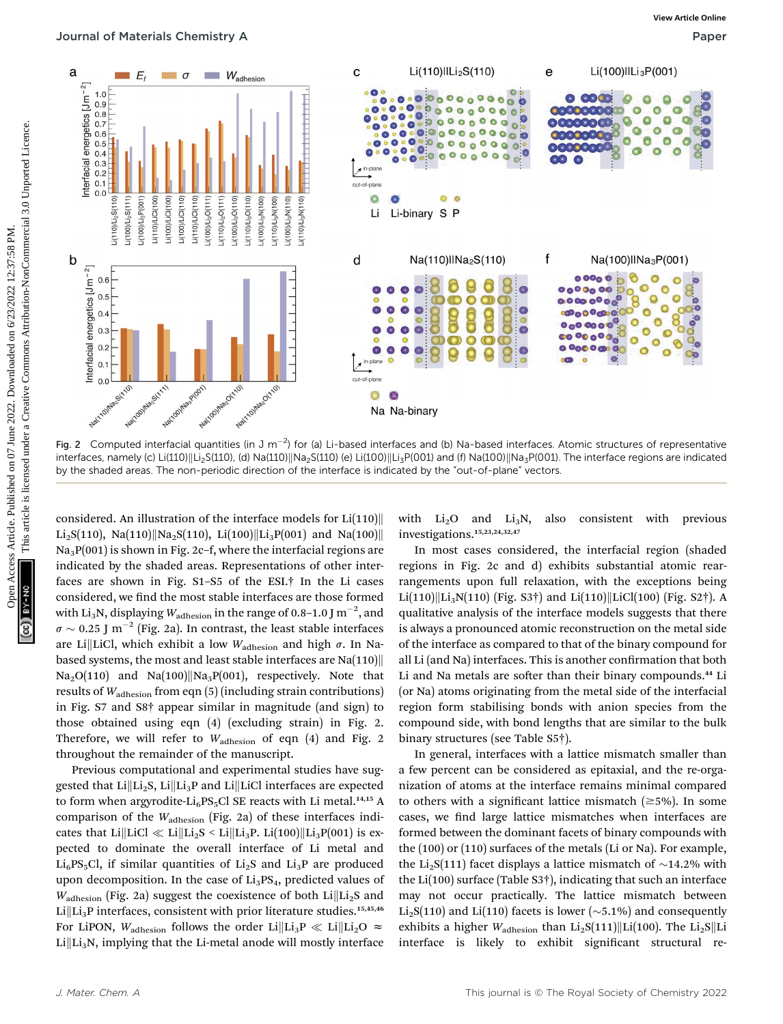

Fig. 2 Computed interfacial quantities (in J m<sup>-2</sup>) for (a) Li-based interfaces and (b) Na-based interfaces. Atomic structures of representative interfaces, namely (c) Li(110)||Li<sub>2</sub>S(110), (d) Na(110)||Na<sub>2</sub>S(110) (e) Li(100)||Li<sub>3</sub>P(001) and (f) Na(100)||Na<sub>3</sub>P(001). The interface regions are indicated by the shaded areas. The non-periodic direction of the interface is indicated by the "out-of-plane" vectors.

considered. An illustration of the interface models for  $Li(110)$ Li<sub>2</sub>S(110), Na(110)||Na<sub>2</sub>S(110), Li(100)||Li<sub>3</sub>P(001) and Na(100)|| Na<sub>3</sub>P(001) is shown in Fig. 2c-f, where the interfacial regions are indicated by the shaded areas. Representations of other interfaces are shown in Fig. S1–S5 of the ESI.† In the Li cases considered, we find the most stable interfaces are those formed with Li $_3$ N, displaying  $W_{\rm adhesion}$  in the range of 0.8–1.0 J  $\rm m^{-2}$ , and  $\sigma \sim 0.25$  J m<sup>-2</sup> (Fig. 2a). In contrast, the least stable interfaces<br>are LillLiCl, which exhibit a low W. are Li||LiCl, which exhibit a low  $W_{\text{adhesion}}$  and high  $\sigma$ . In Nabased systems, the most and least stable interfaces are  $\text{Na}(110)$  $Na<sub>2</sub>O(110)$  and  $Na(100)||Na<sub>3</sub>P(001)$ , respectively. Note that results of  $W_{\text{adhesion}}$  from eqn (5) (including strain contributions) in Fig. S7 and S8† appear similar in magnitude (and sign) to those obtained using eqn (4) (excluding strain) in Fig. 2. Therefore, we will refer to  $W_{\text{adhesion}}$  of eqn (4) and Fig. 2 throughout the remainder of the manuscript.

Previous computational and experimental studies have suggested that  $Li\|Li_2S$ ,  $Li\|Li_3P$  and  $Li\|LiCl$  interfaces are expected to form when argyrodite-Li<sub>6</sub>PS<sub>5</sub>Cl SE reacts with Li metal.<sup>14,15</sup> A comparison of the Wadhesion (Fig. 2a) of these interfaces indicates that Li $\|\text{LiCl} \ll \text{Li}\|\text{Li}_2S \leq \text{Li}\|\text{Li}_3P$ . Li $(100)\|\text{Li}_3P(001)$  is expected to dominate the overall interface of Li metal and  $Li_6PS_5Cl$ , if similar quantities of  $Li_2S$  and  $Li_3P$  are produced upon decomposition. In the case of  $Li<sub>3</sub>PS<sub>4</sub>$ , predicted values of  $W_{\text{adhesion}}$  (Fig. 2a) suggest the coexistence of both Li $\vert\vert\text{Li}_2\text{S}$  and Li $\|$ Li<sub>3</sub>P interfaces, consistent with prior literature studies.<sup>15,45,46</sup> For LiPON,  $W_{\text{adhesion}}$  follows the order Li $\|\text{Li}_3\text{P} \ll \text{Li}\|\text{Li}_2\text{O} \approx$  $Li\left\vert Li_{3}N\right\rangle$ , implying that the Li-metal anode will mostly interface

with  $Li<sub>2</sub>O$  and  $Li<sub>3</sub>N$ , also consistent with previous investigations.15,23,24,32,47

In most cases considered, the interfacial region (shaded regions in Fig. 2c and d) exhibits substantial atomic rearrangements upon full relaxation, with the exceptions being  $Li(110)||Li<sub>3</sub>N(110)$  (Fig. S3†) and  $Li(110)||LiCl(100)$  (Fig. S2†). A qualitative analysis of the interface models suggests that there is always a pronounced atomic reconstruction on the metal side of the interface as compared to that of the binary compound for all Li (and Na) interfaces. This is another confirmation that both Li and Na metals are softer than their binary compounds.<sup>44</sup> Li (or Na) atoms originating from the metal side of the interfacial region form stabilising bonds with anion species from the compound side, with bond lengths that are similar to the bulk binary structures (see Table S5†).

In general, interfaces with a lattice mismatch smaller than a few percent can be considered as epitaxial, and the re-organization of atoms at the interface remains minimal compared to others with a significant lattice mismatch  $(\geq 5\%)$ . In some cases, we find large lattice mismatches when interfaces are formed between the dominant facets of binary compounds with the (100) or (110) surfaces of the metals (Li or Na). For example, the Li<sub>2</sub>S(111) facet displays a lattice mismatch of  $\sim$ 14.2% with the Li(100) surface (Table S3†), indicating that such an interface may not occur practically. The lattice mismatch between  $Li<sub>2</sub>S(110)$  and Li(110) facets is lower ( $\sim$ 5.1%) and consequently exhibits a higher  $W_{\text{adhesion}}$  than  $\text{Li}_2\text{S}(111)$ ||Li(100). The  $\text{Li}_2\text{S}$ ||Li interface is likely to exhibit significant structural re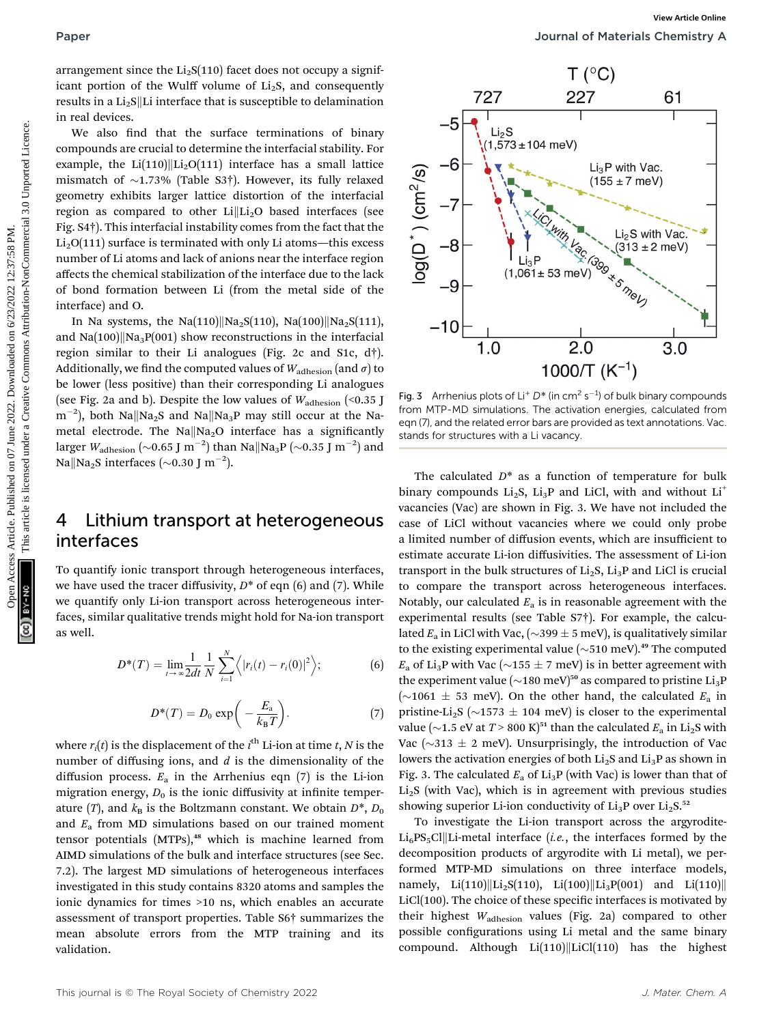arrangement since the  $Li<sub>2</sub>S(110)$  facet does not occupy a significant portion of the Wulff volume of  $Li<sub>2</sub>S$ , and consequently results in a  $Li<sub>2</sub>S$ ||Li interface that is susceptible to delamination in real devices.

We also find that the surface terminations of binary compounds are crucial to determine the interfacial stability. For example, the Li(110)||Li<sub>2</sub>O(111) interface has a small lattice mismatch of  $\sim$ 1.73% (Table S3†). However, its fully relaxed geometry exhibits larger lattice distortion of the interfacial region as compared to other  $Li\|Li_2O$  based interfaces (see Fig. S4†). This interfacial instability comes from the fact that the  $Li<sub>2</sub>O(111)$  surface is terminated with only Li atoms—this excess number of Li atoms and lack of anions near the interface region affects the chemical stabilization of the interface due to the lack of bond formation between Li (from the metal side of the interface) and O.

In Na systems, the Na(110)||Na<sub>2</sub>S(110), Na(100)||Na<sub>2</sub>S(111), and  $\text{Na}(100)$ || $\text{Na}_3\text{P}(001)$  show reconstructions in the interfacial region similar to their Li analogues (Fig. 2c and S1c, d†). Additionally, we find the computed values of  $W_{\text{adhesion}}$  (and  $\sigma$ ) to be lower (less positive) than their corresponding Li analogues (see Fig. 2a and b). Despite the low values of  $W_{\text{adhesion}}$  (<0.35 J  $\text{m}^{-2}$ ), both Na $\parallel$ Na<sub>2</sub>S and Na $\parallel$ Na<sub>3</sub>P may still occur at the Nametal electrode. The Na $\|Na_2O$  interface has a significantly larger  $W_{\rm adhesion} \left(\sim\! 0.65~{\rm J~m}^{-2}\right)$  than Na $\rm \parallel$ Na<sub>3</sub>P  $\left(\sim\! 0.35~{\rm J~m}^{-2}\right)$  and Na $\parallel$ Na<sub>2</sub>S interfaces (~0.30 J m<sup>-2</sup>).

## 4 Lithium transport at heterogeneous interfaces

To quantify ionic transport through heterogeneous interfaces, we have used the tracer diffusivity,  $D^*$  of eqn (6) and (7). While we quantify only Li-ion transport across heterogeneous interfaces, similar qualitative trends might hold for Na-ion transport as well.

$$
D^*(T) = \lim_{t \to \infty} \frac{1}{2dt} \frac{1}{N} \sum_{i=1}^N \left\langle |r_i(t) - r_i(0)|^2 \right\rangle; \tag{6}
$$

$$
D^*(T) = D_0 \exp\bigg(-\frac{E_a}{k_B T}\bigg). \tag{7}
$$

where  $r_i(t)$  is the displacement of the  $i^{\rm th}$  Li-ion at time  $t, N$  is the number of diffusing ions, and  $d$  is the dimensionality of the diffusion process.  $E_a$  in the Arrhenius eqn (7) is the Li-ion migration energy,  $D_0$  is the ionic diffusivity at infinite temperature (T), and  $k_B$  is the Boltzmann constant. We obtain  $D^*$ ,  $D_0$ and  $E_a$  from MD simulations based on our trained moment tensor potentials (MTPs),<sup>48</sup> which is machine learned from AIMD simulations of the bulk and interface structures (see Sec. 7.2). The largest MD simulations of heterogeneous interfaces investigated in this study contains 8320 atoms and samples the ionic dynamics for times >10 ns, which enables an accurate assessment of transport properties. Table S6† summarizes the mean absolute errors from the MTP training and its validation.



**Fig. 3** Arrhenius plots of Li<sup>+</sup>  $D^*$  (in cm<sup>2</sup> s<sup>-1</sup>) of bulk binary compounds<br>from MTP-MD simulations. The activation energies, calculated from from MTP-MD simulations. The activation energies, calculated from eqn (7), and the related error bars are provided as text annotations. Vac. stands for structures with a Li vacancy.

The calculated  $D^*$  as a function of temperature for bulk binary compounds  $Li_2S$ ,  $Li_3P$  and LiCl, with and without  $Li^+$ vacancies (Vac) are shown in Fig. 3. We have not included the case of LiCl without vacancies where we could only probe a limited number of diffusion events, which are insufficient to estimate accurate Li-ion diffusivities. The assessment of Li-ion transport in the bulk structures of  $Li<sub>2</sub>S$ ,  $Li<sub>3</sub>P$  and LiCl is crucial to compare the transport across heterogeneous interfaces. Notably, our calculated  $E_a$  is in reasonable agreement with the experimental results (see Table S7†). For example, the calculated  $E_a$  in LiCl with Vac, ( $\sim$ 399  $\pm$  5 meV), is qualitatively similar to the existing experimental value  $(\sim 510 \text{ meV})$ .<sup>49</sup> The computed  $E_a$  of Li<sub>3</sub>P with Vac ( $\sim$ 155  $\pm$  7 meV) is in better agreement with the experiment value ( $\sim$ 180 meV)<sup>50</sup> as compared to pristine Li<sub>3</sub>P ( $\sim$ 1061  $\pm$  53 meV). On the other hand, the calculated  $E_a$  in pristine-Li<sub>2</sub>S ( $\sim$ 1573  $\pm$  104 meV) is closer to the experimental value ( $\sim$ 1.5 eV at  $T$  > 800 K)<sup>51</sup> than the calculated  $E_{\rm a}$  in Li<sub>2</sub>S with Vac ( $\sim$ 313  $\pm$  2 meV). Unsurprisingly, the introduction of Vac lowers the activation energies of both  $Li<sub>2</sub>S$  and  $Li<sub>3</sub>P$  as shown in Fig. 3. The calculated  $E_a$  of  $Li_3P$  (with Vac) is lower than that of  $Li<sub>2</sub>S$  (with Vac), which is in agreement with previous studies showing superior Li-ion conductivity of  $Li_3P$  over  $Li_2S$ .<sup>52</sup>

To investigate the Li-ion transport across the argyrodite- $Li<sub>6</sub>PS<sub>5</sub>Cl$ |Li-metal interface (*i.e.*, the interfaces formed by the decomposition products of argyrodite with Li metal), we performed MTP-MD simulations on three interface models, namely, Li(110)||Li<sub>2</sub>S(110), Li(100)||Li<sub>3</sub>P(001) and Li(110)||  $LiCl(100)$ . The choice of these specific interfaces is motivated by their highest Wadhesion values (Fig. 2a) compared to other possible configurations using Li metal and the same binary compound. Although  $Li(110)||LiCl(110)$  has the highest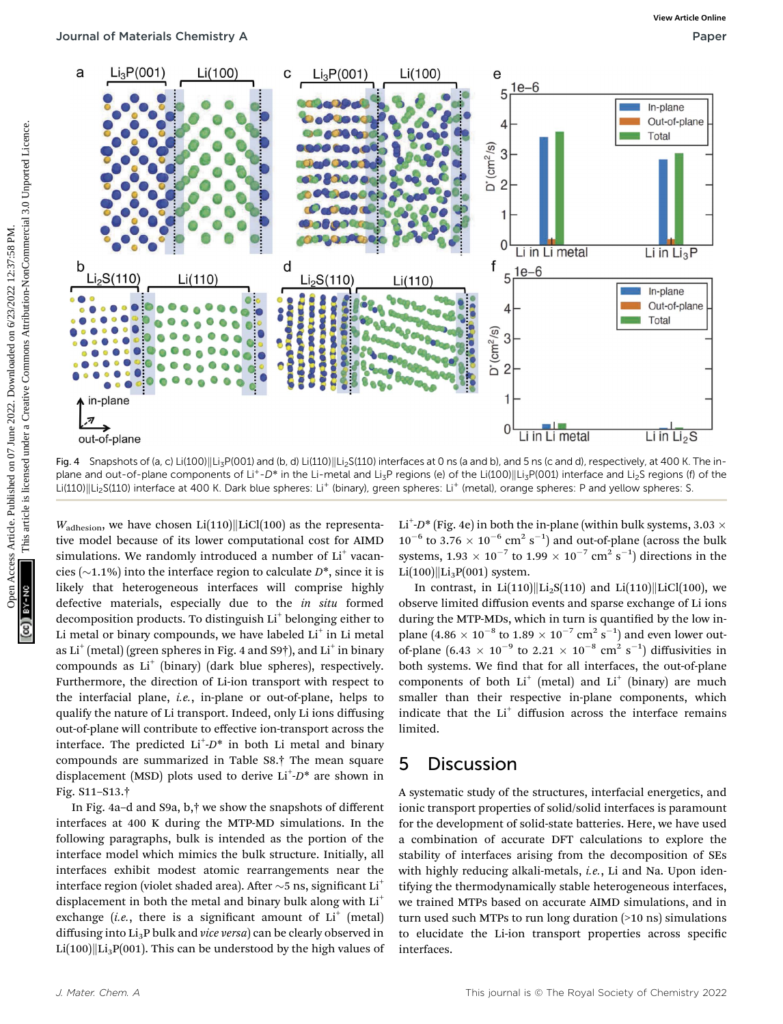

Fig. 4 Snapshots of (a, c) Li(100)||Li<sub>3</sub>P(001) and (b, d) Li(110)||Li<sub>2</sub>S(110) interfaces at 0 ns (a and b), and 5 ns (c and d), respectively, at 400 K. The inplane and out-of-plane components of Li<sup>+</sup>-D<sup>\*</sup> in the Li-metal and Li<sub>3</sub>P regions (e) of the Li(100)||Li<sub>3</sub>P(001) interface and Li<sub>2</sub>S regions (f) of the Li(110)||Li<sub>2</sub>S(110) interface at 400 K. Dark blue spheres: Li<sup>+</sup> (binary), green spheres: Li<sup>+</sup> (metal), orange spheres: P and yellow spheres: S.

 $W_{\text{adhesion}}$ , we have chosen Li(110)||LiCl(100) as the representative model because of its lower computational cost for AIMD simulations. We randomly introduced a number of Li<sup>+</sup> vacancies (~1.1%) into the interface region to calculate  $D^*$ , since it is likely that heterogeneous interfaces will comprise highly defective materials, especially due to the in situ formed decomposition products. To distinguish Li<sup>+</sup> belonging either to Li metal or binary compounds, we have labeled  $Li<sup>+</sup>$  in Li metal as  $Li^+($ metal) (green spheres in Fig. 4 and S9†), and  $Li^+($  in binary compounds as  $Li<sup>+</sup>$  (binary) (dark blue spheres), respectively. Furthermore, the direction of Li-ion transport with respect to the interfacial plane, i.e., in-plane or out-of-plane, helps to qualify the nature of Li transport. Indeed, only Li ions diffusing out-of-plane will contribute to effective ion-transport across the interface. The predicted  $Li^{\dagger}D^*$  in both Li metal and binary compounds are summarized in Table S8.† The mean square displacement (MSD) plots used to derive  $Li^+D^*$  are shown in Fig. S11–S13.†

In Fig. 4a–d and S9a, b,† we show the snapshots of different interfaces at 400 K during the MTP-MD simulations. In the following paragraphs, bulk is intended as the portion of the interface model which mimics the bulk structure. Initially, all interfaces exhibit modest atomic rearrangements near the interface region (violet shaded area). After  $\sim$ 5 ns, significant Li<sup>+</sup> displacement in both the metal and binary bulk along with  $Li^+$ exchange (*i.e.*, there is a significant amount of  $Li^+$  (metal) diffusing into Li<sub>3</sub>P bulk and vice versa) can be clearly observed in  $Li(100)||Li<sub>3</sub>P(001)$ . This can be understood by the high values of

Li<sup>+</sup>-D<sup>\*</sup> (Fig. 4e) in both the in-plane (within bulk systems, 3.03  $\times$  $10^{-6}$  to 3.76  $\times$   $10^{-6}$  cm<sup>2</sup> s<sup>-1</sup>) and out-of-plane (across the bulk systems,  $1.93 \times 10^{-7}$  to  $1.99 \times 10^{-7}$  cm<sup>2</sup> s<sup>-1</sup>) directions in the  $Li(100)||Li_3P(001)$  system.

In contrast, in  $Li(110)||Li<sub>2</sub>S(110)$  and  $Li(110)||LiCl(100)$ , we observe limited diffusion events and sparse exchange of Li ions during the MTP-MDs, which in turn is quantified by the low inplane  $(4.86 \times 10^{-8} \text{ to } 1.89 \times 10^{-7} \text{ cm}^2 \text{ s}^{-1})$  and even lower outof-plane  $(6.43 \times 10^{-9} \text{ to } 2.21 \times 10^{-8} \text{ cm}^2 \text{ s}^{-1})$  diffusivities in both systems. We find that for all interfaces, the out-of-plane components of both  $Li^+$  (metal) and  $Li^+$  (binary) are much smaller than their respective in-plane components, which indicate that the  $Li<sup>+</sup>$  diffusion across the interface remains limited.

## 5 Discussion

A systematic study of the structures, interfacial energetics, and ionic transport properties of solid/solid interfaces is paramount for the development of solid-state batteries. Here, we have used a combination of accurate DFT calculations to explore the stability of interfaces arising from the decomposition of SEs with highly reducing alkali-metals, *i.e.*, Li and Na. Upon identifying the thermodynamically stable heterogeneous interfaces, we trained MTPs based on accurate AIMD simulations, and in turn used such MTPs to run long duration (>10 ns) simulations to elucidate the Li-ion transport properties across specific interfaces.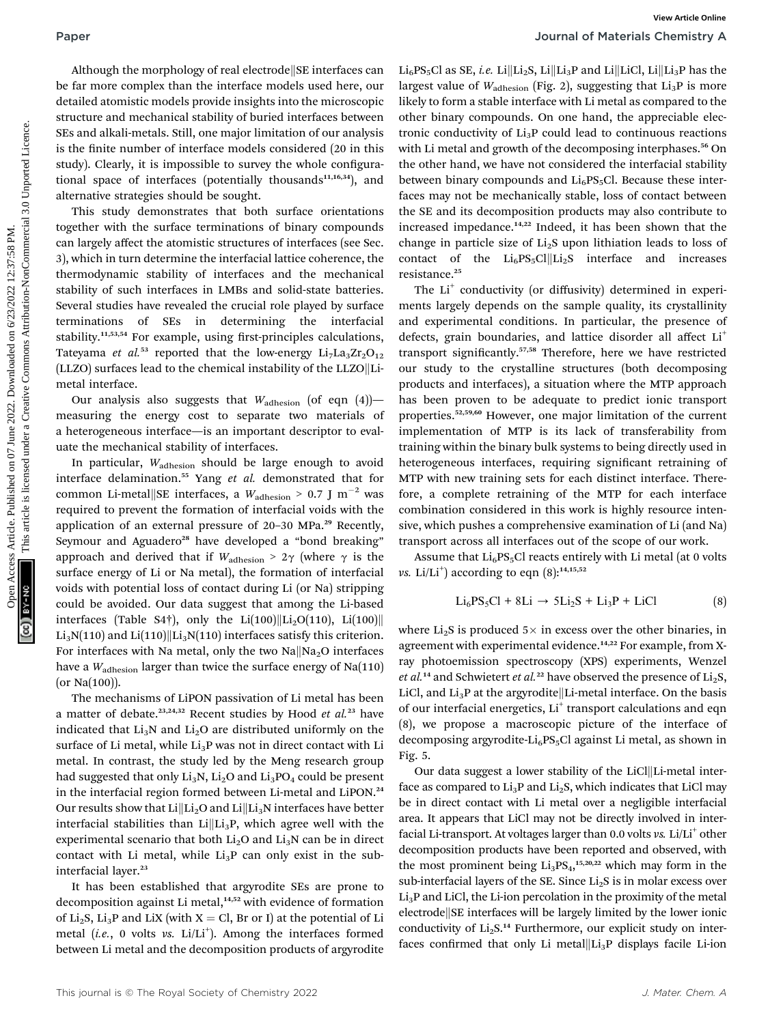Although the morphology of real electrode  $\left\Vert S\right\Vert$  interfaces can be far more complex than the interface models used here, our detailed atomistic models provide insights into the microscopic structure and mechanical stability of buried interfaces between SEs and alkali-metals. Still, one major limitation of our analysis is the finite number of interface models considered (20 in this study). Clearly, it is impossible to survey the whole configurational space of interfaces (potentially thousands $11,16,34$ ), and alternative strategies should be sought.

This study demonstrates that both surface orientations together with the surface terminations of binary compounds can largely affect the atomistic structures of interfaces (see Sec. 3), which in turn determine the interfacial lattice coherence, the thermodynamic stability of interfaces and the mechanical stability of such interfaces in LMBs and solid-state batteries. Several studies have revealed the crucial role played by surface terminations of SEs in determining the interfacial stability.<sup>11,53,54</sup> For example, using first-principles calculations, Tateyama et al.<sup>53</sup> reported that the low-energy  $Li<sub>7</sub>La<sub>3</sub>Zr<sub>2</sub>O<sub>12</sub>$ (LLZO) surfaces lead to the chemical instability of the LLZO $\|$ Limetal interface.

Our analysis also suggests that  $W_{\text{adhesion}}$  (of eqn (4))measuring the energy cost to separate two materials of a heterogeneous interface—is an important descriptor to evaluate the mechanical stability of interfaces.

In particular, W<sub>adhesion</sub> should be large enough to avoid interface delamination.<sup>55</sup> Yang et al. demonstrated that for common Li-metal $\|\text{SE}$  interfaces, a  $W_{\text{adhesion}} > 0.7 \text{ J m}^{-2}$  was required to prevent the formation of interfacial voids with the application of an external pressure of 20–30 MPa.<sup>29</sup> Recently, Seymour and Aguadero<sup>28</sup> have developed a "bond breaking" approach and derived that if  $W_{\text{adhesion}} > 2\gamma$  (where  $\gamma$  is the surface energy of Li or Na metal), the formation of interfacial voids with potential loss of contact during Li (or Na) stripping could be avoided. Our data suggest that among the Li-based interfaces (Table S4†), only the Li(100)||Li<sub>2</sub>O(110), Li(100)||  $Li<sub>3</sub>N(110)$  and  $Li(110)||Li<sub>3</sub>N(110)$  interfaces satisfy this criterion. For interfaces with Na metal, only the two  $Na||Na<sub>2</sub>O$  interfaces have a  $W_{\text{adhesion}}$  larger than twice the surface energy of Na(110) (or Na(100)).

The mechanisms of LiPON passivation of Li metal has been a matter of debate.<sup>23,24,32</sup> Recent studies by Hood et al.<sup>23</sup> have indicated that  $Li<sub>3</sub>N$  and  $Li<sub>2</sub>O$  are distributed uniformly on the surface of Li metal, while  $Li<sub>3</sub>P$  was not in direct contact with Li metal. In contrast, the study led by the Meng research group had suggested that only  $Li<sub>3</sub>N$ ,  $Li<sub>2</sub>O$  and  $Li<sub>3</sub>PO<sub>4</sub>$  could be present in the interfacial region formed between Li-metal and LiPON.<sup>24</sup> Our results show that  $Li\|Li_2O$  and  $Li\|Li_3N$  interfaces have better interfacial stabilities than  $Li\|Li_3P$ , which agree well with the experimental scenario that both  $Li<sub>2</sub>O$  and  $Li<sub>3</sub>N$  can be in direct contact with Li metal, while  $Li<sub>3</sub>P$  can only exist in the subinterfacial layer.<sup>23</sup>

It has been established that argyrodite SEs are prone to decomposition against Li metal,<sup>14,52</sup> with evidence of formation of Li<sub>2</sub>S, Li<sub>3</sub>P and LiX (with  $X = Cl$ , Br or I) at the potential of Li metal (i.e., 0 volts vs.  $Li/Li^{+}$ ). Among the interfaces formed between Li metal and the decomposition products of argyrodite Li<sub>6</sub>PS<sub>5</sub>Cl as SE, *i.e.* Li $\|$ Li<sub>2</sub>S, Li $\|$ Li<sub>3</sub>P and Li $\|$ LiCl, Li $\|$ Li<sub>3</sub>P has the largest value of  $W_{\text{adhesion}}$  (Fig. 2), suggesting that  $\text{Li}_3\text{P}$  is more likely to form a stable interface with Li metal as compared to the other binary compounds. On one hand, the appreciable electronic conductivity of  $Li<sub>3</sub>P$  could lead to continuous reactions with Li metal and growth of the decomposing interphases.<sup>56</sup> On the other hand, we have not considered the interfacial stability between binary compounds and  $Li<sub>6</sub>PS<sub>5</sub>Cl$ . Because these interfaces may not be mechanically stable, loss of contact between the SE and its decomposition products may also contribute to increased impedance.14,22 Indeed, it has been shown that the change in particle size of  $Li<sub>2</sub>S$  upon lithiation leads to loss of contact of the  $Li_6PS_5Cl||Li_2S$  interface and increases resistance.<sup>25</sup>

The Li<sup>+</sup> conductivity (or diffusivity) determined in experiments largely depends on the sample quality, its crystallinity and experimental conditions. In particular, the presence of defects, grain boundaries, and lattice disorder all affect Li<sup>+</sup> transport significantly.<sup>57,58</sup> Therefore, here we have restricted our study to the crystalline structures (both decomposing products and interfaces), a situation where the MTP approach has been proven to be adequate to predict ionic transport properties.<sup>52,59,60</sup> However, one major limitation of the current implementation of MTP is its lack of transferability from training within the binary bulk systems to being directly used in heterogeneous interfaces, requiring significant retraining of MTP with new training sets for each distinct interface. Therefore, a complete retraining of the MTP for each interface combination considered in this work is highly resource intensive, which pushes a comprehensive examination of Li (and Na) transport across all interfaces out of the scope of our work. Paper<br>
Although the morphology of real electrodelps interfaces can they are the ratio of the more compute the ratio of the more compute the ratio of the creative Commons are the ratio of the creative Commons are the creat

Assume that  $Li<sub>6</sub>PS<sub>5</sub>Cl$  reacts entirely with Li metal (at 0 volts vs. Li/Li<sup>+</sup>) according to eqn  $(8)$ :<sup>14,15,52</sup>

$$
\text{Li}_6\text{PS}_5\text{Cl} + 8\text{Li} \rightarrow 5\text{Li}_2\text{S} + \text{Li}_3\text{P} + \text{LiCl} \tag{8}
$$

where  $Li<sub>2</sub>S$  is produced  $5\times$  in excess over the other binaries, in agreement with experimental evidence.<sup>14,22</sup> For example, from Xray photoemission spectroscopy (XPS) experiments, Wenzel et al.<sup>14</sup> and Schwietert et al.<sup>22</sup> have observed the presence of  $Li<sub>2</sub>S$ , LiCl, and  $Li_3P$  at the argyrodite Li-metal interface. On the basis of our interfacial energetics, Li<sup>+</sup> transport calculations and eqn (8), we propose a macroscopic picture of the interface of decomposing argyrodite- $Li<sub>6</sub>PS<sub>5</sub>Cl$  against Li metal, as shown in Fig. 5.

Our data suggest a lower stability of the LiCl||Li-metal interface as compared to  $Li<sub>3</sub>P$  and  $Li<sub>2</sub>S$ , which indicates that LiCl may be in direct contact with Li metal over a negligible interfacial area. It appears that LiCl may not be directly involved in interfacial Li-transport. At voltages larger than 0.0 volts vs. Li/Li<sup>+</sup> other decomposition products have been reported and observed, with the most prominent being  $Li_3PS_4$ ,<sup>15,20,22</sup> which may form in the sub-interfacial layers of the SE. Since  $Li<sub>2</sub>S$  is in molar excess over  $Li<sub>3</sub>P$  and LiCl, the Li-ion percolation in the proximity of the metal electrode SE interfaces will be largely limited by the lower ionic conductivity of  $Li<sub>2</sub>S.<sup>14</sup>$  Furthermore, our explicit study on interfaces confirmed that only Li metal $\|Li_3P$  displays facile Li-ion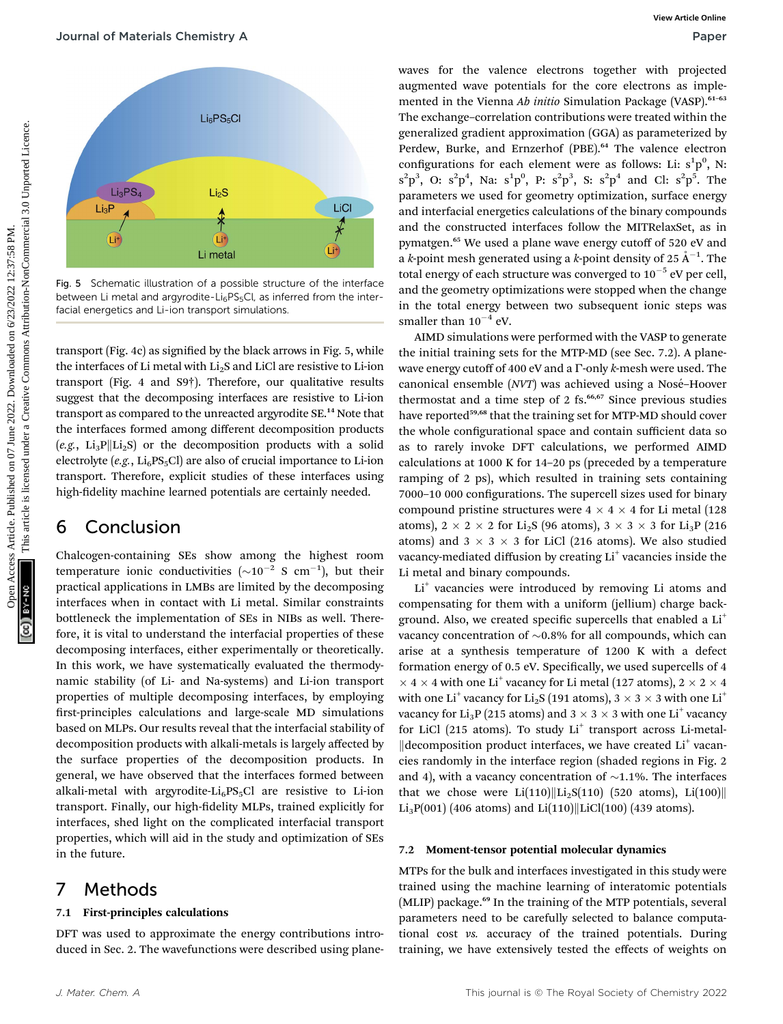

Fig. 5 Schematic illustration of a possible structure of the interface between Li metal and argyrodite-Li $_6$ PS $_5$ Cl, as inferred from the interfacial energetics and Li-ion transport simulations.

transport (Fig. 4c) as signified by the black arrows in Fig. 5, while the interfaces of Li metal with  $Li<sub>2</sub>S$  and LiCl are resistive to Li-ion transport (Fig. 4 and S9†). Therefore, our qualitative results suggest that the decomposing interfaces are resistive to Li-ion transport as compared to the unreacted argyrodite SE.<sup>14</sup> Note that the interfaces formed among different decomposition products (e.g.,  $Li_3P||Li_2S$ ) or the decomposition products with a solid electrolyte (e.g.,  $Li_6PS_5Cl$ ) are also of crucial importance to Li-ion transport. Therefore, explicit studies of these interfaces using high-fidelity machine learned potentials are certainly needed.

#### 6 Conclusion

Chalcogen-containing SEs show among the highest room temperature ionic conductivities  $(\sim 10^{-2} \text{ S cm}^{-1})$ , but their practical applications in LMBs are limited by the decomposing interfaces when in contact with Li metal. Similar constraints bottleneck the implementation of SEs in NIBs as well. Therefore, it is vital to understand the interfacial properties of these decomposing interfaces, either experimentally or theoretically. In this work, we have systematically evaluated the thermodynamic stability (of Li- and Na-systems) and Li-ion transport properties of multiple decomposing interfaces, by employing first-principles calculations and large-scale MD simulations based on MLPs. Our results reveal that the interfacial stability of decomposition products with alkali-metals is largely affected by the surface properties of the decomposition products. In general, we have observed that the interfaces formed between alkali-metal with argyrodite- $Li_6PS_5Cl$  are resistive to Li-ion transport. Finally, our high-fidelity MLPs, trained explicitly for interfaces, shed light on the complicated interfacial transport properties, which will aid in the study and optimization of SEs in the future.

#### 7 Methods

#### 7.1 First-principles calculations

DFT was used to approximate the energy contributions introduced in Sec. 2. The wavefunctions were described using plane-

waves for the valence electrons together with projected augmented wave potentials for the core electrons as implemented in the Vienna Ab initio Simulation Package (VASP).<sup>61-63</sup> The exchange–correlation contributions were treated within the generalized gradient approximation (GGA) as parameterized by Perdew, Burke, and Ernzerhof (PBE).<sup>64</sup> The valence electron configurations for each element were as follows: Li:  $s^1p^0$ , N:  $s^{2}p^{3}$ , O:  $s^{2}p^{4}$ , Na:  $s^{1}p^{0}$ , P:  $s^{2}p^{3}$ , S:  $s^{2}p^{4}$  and Cl:  $s^{2}p^{5}$ . The parameters we used for geometry optimization, surface energy and interfacial energetics calculations of the binary compounds and the constructed interfaces follow the MITRelaxSet, as in pymatgen.<sup>65</sup> We used a plane wave energy cutoff of 520 eV and a *k*-point mesh generated using a *k*-point density of 25  $\rm \AA^{-1}.$  The total energy of each structure was converged to  $10^{-5}$  eV per cell, and the geometry optimizations were stopped when the change in the total energy between two subsequent ionic steps was smaller than  $10^{-4}$  eV. **Course Community Articles**<br>
Control on the confidence of the confidence of the confidence of the confidence of the confidence of the confidence of the confidence of the confidence of the confidence of the confidence of t

AIMD simulations were performed with the VASP to generate the initial training sets for the MTP-MD (see Sec. 7.2). A planewave energy cutoff of 400 eV and a  $\Gamma$ -only k-mesh were used. The canonical ensemble (NVT) was achieved using a Nosé-Hoover thermostat and a time step of  $2$  fs.<sup>66,67</sup> Since previous studies have reported<sup>59,68</sup> that the training set for MTP-MD should cover the whole configurational space and contain sufficient data so as to rarely invoke DFT calculations, we performed AIMD calculations at 1000 K for 14–20 ps (preceded by a temperature ramping of 2 ps), which resulted in training sets containing 7000–10 000 configurations. The supercell sizes used for binary compound pristine structures were  $4 \times 4 \times 4$  for Li metal (128) atoms),  $2 \times 2 \times 2$  for Li<sub>2</sub>S (96 atoms),  $3 \times 3 \times 3$  for Li<sub>3</sub>P (216) atoms) and  $3 \times 3 \times 3$  for LiCl (216 atoms). We also studied vacancy-mediated diffusion by creating Li<sup>+</sup> vacancies inside the Li metal and binary compounds.

Li<sup>+</sup> vacancies were introduced by removing Li atoms and compensating for them with a uniform (jellium) charge background. Also, we created specific supercells that enabled a Li<sup>+</sup> vacancy concentration of  $\sim 0.8\%$  for all compounds, which can arise at a synthesis temperature of 1200 K with a defect formation energy of 0.5 eV. Specifically, we used supercells of 4  $\times$  4  $\times$  4 with one Li<sup>+</sup> vacancy for Li metal (127 atoms), 2  $\times$  2  $\times$  4 with one Li<sup>+</sup> vacancy for Li<sub>2</sub>S (191 atoms),  $3 \times 3 \times 3$  with one Li<sup>+</sup> vacancy for Li<sub>3</sub>P (215 atoms) and  $3 \times 3 \times 3$  with one Li<sup>+</sup> vacancy for LiCl (215 atoms). To study  $Li<sup>+</sup>$  transport across Li-metal- $\parallel$  decomposition product interfaces, we have created Li<sup>+</sup> vacancies randomly in the interface region (shaded regions in Fig. 2 and 4), with a vacancy concentration of  $\sim$ 1.1%. The interfaces that we chose were Li(110)||Li<sub>2</sub>S(110) (520 atoms), Li(100)||  $Li_3P(001)$  (406 atoms) and  $Li(110)||LiCl(100)$  (439 atoms).

#### 7.2 Moment-tensor potential molecular dynamics

MTPs for the bulk and interfaces investigated in this study were trained using the machine learning of interatomic potentials (MLIP) package.<sup>69</sup> In the training of the MTP potentials, several parameters need to be carefully selected to balance computational cost vs. accuracy of the trained potentials. During training, we have extensively tested the effects of weights on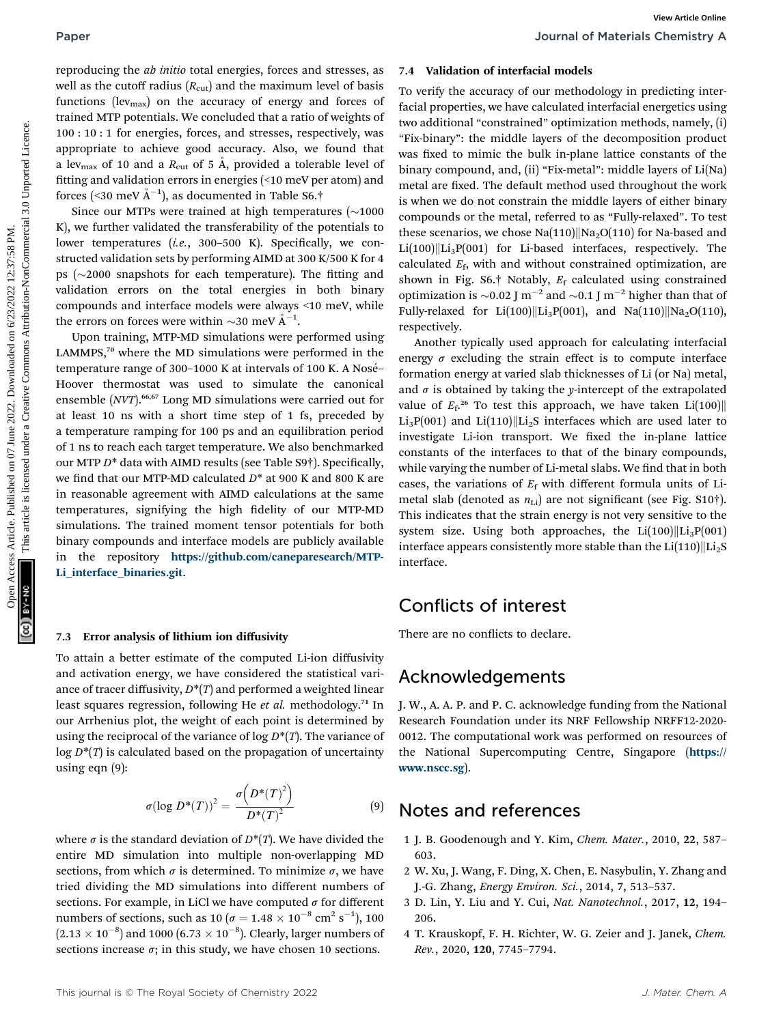reproducing the ab initio total energies, forces and stresses, as well as the cutoff radius  $(R_{\text{cut}})$  and the maximum level of basis functions (lev<sub>max</sub>) on the accuracy of energy and forces of trained MTP potentials. We concluded that a ratio of weights of 100 : 10 : 1 for energies, forces, and stresses, respectively, was appropriate to achieve good accuracy. Also, we found that a lev<sub>max</sub> of 10 and a  $R_{\text{cut}}$  of 5 Å, provided a tolerable level of fitting and validation errors in energies (<10 meV per atom) and forces (<30 meV  $\rm \AA^{-1})$ , as documented in Table S6.†

Since our MTPs were trained at high temperatures  $\sim 1000$ K), we further validated the transferability of the potentials to lower temperatures (i.e., 300-500 K). Specifically, we constructed validation sets by performing AIMD at 300 K/500 K for 4 ps  $(\sim 2000$  snapshots for each temperature). The fitting and validation errors on the total energies in both binary compounds and interface models were always <10 meV, while the errors on forces were within  $\sim$ 30 meV  $\AA^{-1}$ .

Upon training, MTP-MD simulations were performed using LAMMPS,<sup>70</sup> where the MD simulations were performed in the temperature range of 300-1000 K at intervals of 100 K. A Nosé-Hoover thermostat was used to simulate the canonical ensemble (NVT).<sup>66,67</sup> Long MD simulations were carried out for at least 10 ns with a short time step of 1 fs, preceded by a temperature ramping for 100 ps and an equilibration period of 1 ns to reach each target temperature. We also benchmarked our MTP  $D^*$  data with AIMD results (see Table S9 $\dagger$ ). Specifically, we find that our MTP-MD calculated  $D^*$  at 900 K and 800 K are in reasonable agreement with AIMD calculations at the same temperatures, signifying the high fidelity of our MTP-MD simulations. The trained moment tensor potentials for both binary compounds and interface models are publicly available in the repository [https://github.com/caneparesearch/MTP-](https://github.com/caneparesearch/MTP-Li_interface_binaries.git)[Li\\_interface\\_binaries.git](https://github.com/caneparesearch/MTP-Li_interface_binaries.git). Paper<br>
Superadiosity the absolution of the maximum interded on 16 Male accurates are the common the common the state of the published on the maximum interded on the maximum interded on the common common common common comm

#### 7.3 Error analysis of lithium ion diffusivity

To attain a better estimate of the computed Li-ion diffusivity and activation energy, we have considered the statistical variance of tracer diffusivity,  $D^*(T)$  and performed a weighted linear least squares regression, following He et al. methodology.<sup>71</sup> In our Arrhenius plot, the weight of each point is determined by using the reciprocal of the variance of  $\log D^*(T)$ . The variance of  $\log D^*(T)$  is calculated based on the propagation of uncertainty using eqn (9):

$$
\sigma(\log D^*(T))^2 = \frac{\sigma\left(D^*(T)^2\right)}{D^*(T)^2} \tag{9}
$$

where  $\sigma$  is the standard deviation of  $D^*(T)$ . We have divided the entire MD simulation into multiple non-overlapping MD sections, from which  $\sigma$  is determined. To minimize  $\sigma$ , we have tried dividing the MD simulations into different numbers of sections. For example, in LiCl we have computed  $\sigma$  for different numbers of sections, such as  $10 (\sigma = 1.48 \times 10^{-8} \text{ cm}^2 \text{ s}^{-1})$ , 100<br>(2.12 × 10<sup>-8</sup>) and 1000 (5.72 × 10<sup>-8</sup>). Closely larger numbers of  $(2.13 \times 10^{-8})$  and 1000  $(6.73 \times 10^{-8})$ . Clearly, larger numbers of sections increase  $\sigma$ ; in this study, we have chosen 10 sections.

#### 7.4 Validation of interfacial models

To verify the accuracy of our methodology in predicting interfacial properties, we have calculated interfacial energetics using two additional "constrained" optimization methods, namely, (i) "Fix-binary": the middle layers of the decomposition product was fixed to mimic the bulk in-plane lattice constants of the binary compound, and, (ii) "Fix-metal": middle layers of Li(Na) metal are fixed. The default method used throughout the work is when we do not constrain the middle layers of either binary compounds or the metal, referred to as "Fully-relaxed". To test these scenarios, we chose  $\text{Na}(110)$ ||Na<sub>2</sub>O(110) for Na-based and  $Li(100)||Li<sub>3</sub>P(001)$  for Li-based interfaces, respectively. The calculated  $E_f$ , with and without constrained optimization, are shown in Fig. S6. $\dagger$  Notably,  $E_f$  calculated using constrained optimization is  $\sim$ 0.02 J m<sup>-2</sup> and  $\sim$ 0.1 J m<sup>-2</sup> higher than that of Fully-relaxed for Li(100) Li<sub>3</sub>P(001), and Na(110) Na<sub>2</sub>O(110), respectively.

Another typically used approach for calculating interfacial energy  $\sigma$  excluding the strain effect is to compute interface formation energy at varied slab thicknesses of Li (or Na) metal, and  $\sigma$  is obtained by taking the y-intercept of the extrapolated value of  $E_f$ <sup>26</sup> To test this approach, we have taken  $Li(100)$ Li<sub>3</sub>P(001) and Li(110)||Li<sub>2</sub>S interfaces which are used later to investigate Li-ion transport. We fixed the in-plane lattice constants of the interfaces to that of the binary compounds, while varying the number of Li-metal slabs. We find that in both cases, the variations of  $E_f$  with different formula units of Limetal slab (denoted as  $n_{\text{Li}}$ ) are not significant (see Fig. S10†). This indicates that the strain energy is not very sensitive to the system size. Using both approaches, the  $Li(100)||Li<sub>3</sub>P(001)$ interface appears consistently more stable than the  $Li(110)||Li<sub>2</sub>S$ interface.

#### Conflicts of interest

There are no conflicts to declare.

#### Acknowledgements

J. W., A. A. P. and P. C. acknowledge funding from the National Research Foundation under its NRF Fellowship NRFF12-2020- 0012. The computational work was performed on resources of the National Supercomputing Centre, Singapore ([https://](https://www.nscc.sg) [www.nscc.sg](https://www.nscc.sg)).

#### Notes and references

- 1 J. B. Goodenough and Y. Kim, Chem. Mater., 2010, 22, 587– 603.
- 2 W. Xu, J. Wang, F. Ding, X. Chen, E. Nasybulin, Y. Zhang and J.-G. Zhang, Energy Environ. Sci., 2014, 7, 513–537.
- 3 D. Lin, Y. Liu and Y. Cui, Nat. Nanotechnol., 2017, 12, 194– 206.
- 4 T. Krauskopf, F. H. Richter, W. G. Zeier and J. Janek, Chem. Rev., 2020, 120, 7745–7794.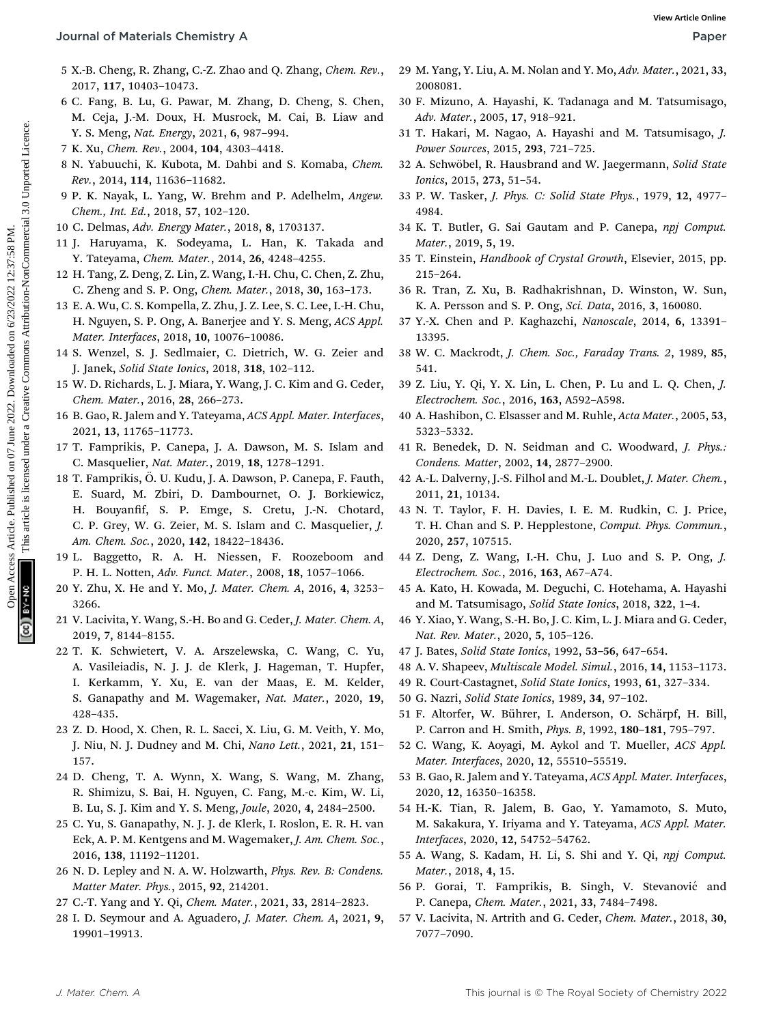- 5 X.-B. Cheng, R. Zhang, C.-Z. Zhao and Q. Zhang, Chem. Rev., 2017, 117, 10403–10473.
- 6 C. Fang, B. Lu, G. Pawar, M. Zhang, D. Cheng, S. Chen, M. Ceja, J.-M. Doux, H. Musrock, M. Cai, B. Liaw and Y. S. Meng, Nat. Energy, 2021, 6, 987–994.
- 7 K. Xu, Chem. Rev., 2004, 104, 4303–4418.
- 8 N. Yabuuchi, K. Kubota, M. Dahbi and S. Komaba, Chem. Rev., 2014, 114, 11636–11682.
- 9 P. K. Nayak, L. Yang, W. Brehm and P. Adelhelm, Angew. Chem., Int. Ed., 2018, 57, 102–120.
- 10 C. Delmas, Adv. Energy Mater., 2018, 8, 1703137.
- 11 J. Haruyama, K. Sodeyama, L. Han, K. Takada and Y. Tateyama, Chem. Mater., 2014, 26, 4248–4255.
- 12 H. Tang, Z. Deng, Z. Lin, Z. Wang, I.-H. Chu, C. Chen, Z. Zhu, C. Zheng and S. P. Ong, Chem. Mater., 2018, 30, 163–173.
- 13 E. A. Wu, C. S. Kompella, Z. Zhu, J. Z. Lee, S. C. Lee, I.-H. Chu, H. Nguyen, S. P. Ong, A. Banerjee and Y. S. Meng, ACS Appl. Mater. Interfaces, 2018, 10, 10076–10086.
- 14 S. Wenzel, S. J. Sedlmaier, C. Dietrich, W. G. Zeier and J. Janek, Solid State Ionics, 2018, 318, 102–112.
- 15 W. D. Richards, L. J. Miara, Y. Wang, J. C. Kim and G. Ceder, Chem. Mater., 2016, 28, 266–273.
- 16 B. Gao, R. Jalem and Y. Tateyama, ACS Appl. Mater. Interfaces, 2021, 13, 11765–11773.
- 17 T. Famprikis, P. Canepa, J. A. Dawson, M. S. Islam and C. Masquelier, Nat. Mater., 2019, 18, 1278–1291.
- 18 T. Famprikis, O. U. Kudu, J. A. Dawson, P. Canepa, F. Fauth, ¨ E. Suard, M. Zbiri, D. Dambournet, O. J. Borkiewicz, H. Bouyanfif, S. P. Emge, S. Cretu, J.-N. Chotard, C. P. Grey, W. G. Zeier, M. S. Islam and C. Masquelier, J. Am. Chem. Soc., 2020, 142, 18422–18436. Open Access Article. Published on 07 June 2022. Downloaded on 6/23/2022 12:37:58 PM. This article is licensed under a [Creative Commons Attribution-NonCommercial 3.0 Unported Licence.](http://creativecommons.org/licenses/by-nc/3.0/) **[View Article Online](https://doi.org/10.1039/d2ta02202h)**
	- 19 L. Baggetto, R. A. H. Niessen, F. Roozeboom and P. H. L. Notten, Adv. Funct. Mater., 2008, 18, 1057–1066.
	- 20 Y. Zhu, X. He and Y. Mo, J. Mater. Chem. A, 2016, 4, 3253– 3266.
	- 21 V. Lacivita, Y. Wang, S.-H. Bo and G. Ceder, J. Mater. Chem. A, 2019, 7, 8144–8155.
	- 22 T. K. Schwietert, V. A. Arszelewska, C. Wang, C. Yu, A. Vasileiadis, N. J. J. de Klerk, J. Hageman, T. Hupfer, I. Kerkamm, Y. Xu, E. van der Maas, E. M. Kelder, S. Ganapathy and M. Wagemaker, Nat. Mater., 2020, 19, 428–435.
	- 23 Z. D. Hood, X. Chen, R. L. Sacci, X. Liu, G. M. Veith, Y. Mo, J. Niu, N. J. Dudney and M. Chi, Nano Lett., 2021, 21, 151-157.
	- 24 D. Cheng, T. A. Wynn, X. Wang, S. Wang, M. Zhang, R. Shimizu, S. Bai, H. Nguyen, C. Fang, M.-c. Kim, W. Li, B. Lu, S. J. Kim and Y. S. Meng, Joule, 2020, 4, 2484–2500.
	- 25 C. Yu, S. Ganapathy, N. J. J. de Klerk, I. Roslon, E. R. H. van Eck, A. P. M. Kentgens and M. Wagemaker, J. Am. Chem. Soc., 2016, 138, 11192–11201.
	- 26 N. D. Lepley and N. A. W. Holzwarth, Phys. Rev. B: Condens. Matter Mater. Phys., 2015, 92, 214201.
	- 27 C.-T. Yang and Y. Qi, Chem. Mater., 2021, 33, 2814–2823.
	- 28 I. D. Seymour and A. Aguadero, J. Mater. Chem. A, 2021, 9, 19901–19913.
- 29 M. Yang, Y. Liu, A. M. Nolan and Y. Mo, Adv. Mater., 2021, 33, 2008081.
- 30 F. Mizuno, A. Hayashi, K. Tadanaga and M. Tatsumisago, Adv. Mater., 2005, 17, 918–921.
- 31 T. Hakari, M. Nagao, A. Hayashi and M. Tatsumisago, J. Power Sources, 2015, 293, 721–725.
- 32 A. Schwöbel, R. Hausbrand and W. Jaegermann, Solid State Ionics, 2015, 273, 51–54.
- 33 P. W. Tasker, J. Phys. C: Solid State Phys., 1979, 12, 4977– 4984.
- 34 K. T. Butler, G. Sai Gautam and P. Canepa, npj Comput. Mater., 2019, 5, 19.
- 35 T. Einstein, Handbook of Crystal Growth, Elsevier, 2015, pp. 215–264.
- 36 R. Tran, Z. Xu, B. Radhakrishnan, D. Winston, W. Sun, K. A. Persson and S. P. Ong, Sci. Data, 2016, 3, 160080.
- 37 Y.-X. Chen and P. Kaghazchi, Nanoscale, 2014, 6, 13391– 13395.
- 38 W. C. Mackrodt, J. Chem. Soc., Faraday Trans. 2, 1989, 85, 541.
- 39 Z. Liu, Y. Qi, Y. X. Lin, L. Chen, P. Lu and L. Q. Chen, J. Electrochem. Soc., 2016, 163, A592–A598.
- 40 A. Hashibon, C. Elsasser and M. Ruhle, Acta Mater., 2005, 53, 5323–5332.
- 41 R. Benedek, D. N. Seidman and C. Woodward, J. Phys.: Condens. Matter, 2002, 14, 2877–2900.
- 42 A.-L. Dalverny, J.-S. Filhol and M.-L. Doublet, J. Mater. Chem., 2011, 21, 10134.
- 43 N. T. Taylor, F. H. Davies, I. E. M. Rudkin, C. J. Price, T. H. Chan and S. P. Hepplestone, Comput. Phys. Commun., 2020, 257, 107515.
- 44 Z. Deng, Z. Wang, I.-H. Chu, J. Luo and S. P. Ong, J. Electrochem. Soc., 2016, 163, A67–A74.
- 45 A. Kato, H. Kowada, M. Deguchi, C. Hotehama, A. Hayashi and M. Tatsumisago, Solid State Ionics, 2018, 322, 1–4.
- 46 Y. Xiao, Y. Wang, S.-H. Bo, J. C. Kim, L. J. Miara and G. Ceder, Nat. Rev. Mater., 2020, 5, 105–126.
- 47 J. Bates, Solid State Ionics, 1992, 53–56, 647–654.
- 48 A. V. Shapeev, Multiscale Model. Simul., 2016, 14, 1153–1173.
- 49 R. Court-Castagnet, Solid State Ionics, 1993, 61, 327–334.
- 50 G. Nazri, Solid State Ionics, 1989, 34, 97–102.
- 51 F. Altorfer, W. Bührer, I. Anderson, O. Schärpf, H. Bill, P. Carron and H. Smith, Phys. B, 1992, 180–181, 795–797.
- 52 C. Wang, K. Aoyagi, M. Aykol and T. Mueller, ACS Appl. Mater. Interfaces, 2020, 12, 55510–55519.
- 53 B. Gao, R. Jalem and Y. Tateyama, ACS Appl. Mater. Interfaces, 2020, 12, 16350–16358.
- 54 H.-K. Tian, R. Jalem, B. Gao, Y. Yamamoto, S. Muto, M. Sakakura, Y. Iriyama and Y. Tateyama, ACS Appl. Mater. Interfaces, 2020, 12, 54752–54762.
- 55 A. Wang, S. Kadam, H. Li, S. Shi and Y. Qi, npj Comput. Mater., 2018, 4, 15.
- 56 P. Gorai, T. Famprikis, B. Singh, V. Stevanović and P. Canepa, Chem. Mater., 2021, 33, 7484–7498.
- 57 V. Lacivita, N. Artrith and G. Ceder, Chem. Mater., 2018, 30, 7077–7090.